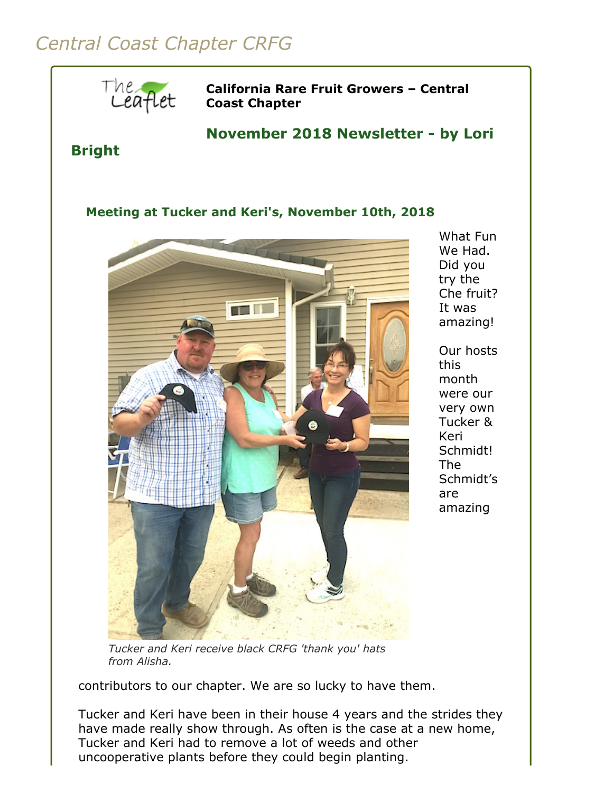## *Central Coast Chapter CRFG*



What Fun We Had. Did you try the Che fruit? It was amazing!

Our hosts this month were our very own Tucker & Keri Schmidt! The Schmidt's are amazing

*Tucker and Keri receive black CRFG 'thank you' hats from Alisha.*

contributors to our chapter. We are so lucky to have them.

Tucker and Keri have been in their house 4 years and the strides they have made really show through. As often is the case at a new home, Tucker and Keri had to remove a lot of weeds and other uncooperative plants before they could begin planting.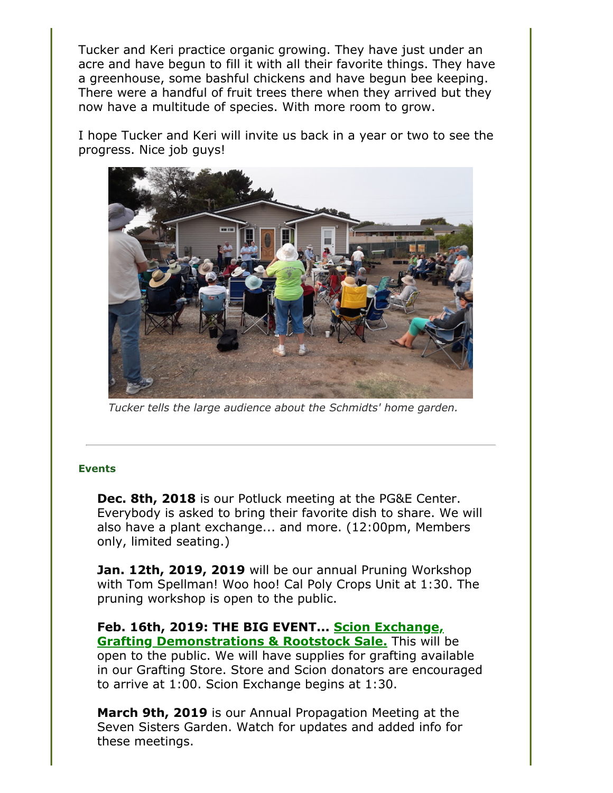Tucker and Keri practice organic growing. They have just under an acre and have begun to fill it with all their favorite things. They have a greenhouse, some bashful chickens and have begun bee keeping. There were a handful of fruit trees there when they arrived but they now have a multitude of species. With more room to grow.

I hope Tucker and Keri will invite us back in a year or two to see the progress. Nice job guys!



*Tucker tells the large audience about the Schmidts' home garden.*

## **Events**

**Dec. 8th, 2018** is our Potluck meeting at the PG&E Center. Everybody is asked to bring their favorite dish to share. We will also have a plant exchange... and more. (12:00pm, Members only, limited seating.)

**Jan. 12th, 2019, 2019** will be our annual Pruning Workshop with Tom Spellman! Woo hoo! Cal Poly Crops Unit at 1:30. The pruning workshop is open to the public.

**[Feb. 16th, 2019: THE BIG EVENT... Scion Exchange,](file:///Users/daramanker/Documents/CRFG/Website/Newsletters/2018/Nov/calendar.html#scion_exchange) Grafting Demonstrations & Rootstock Sale.** This will be open to the public. We will have supplies for grafting available in our Grafting Store. Store and Scion donators are encouraged to arrive at 1:00. Scion Exchange begins at 1:30.

**March 9th, 2019** is our Annual Propagation Meeting at the Seven Sisters Garden. Watch for updates and added info for these meetings.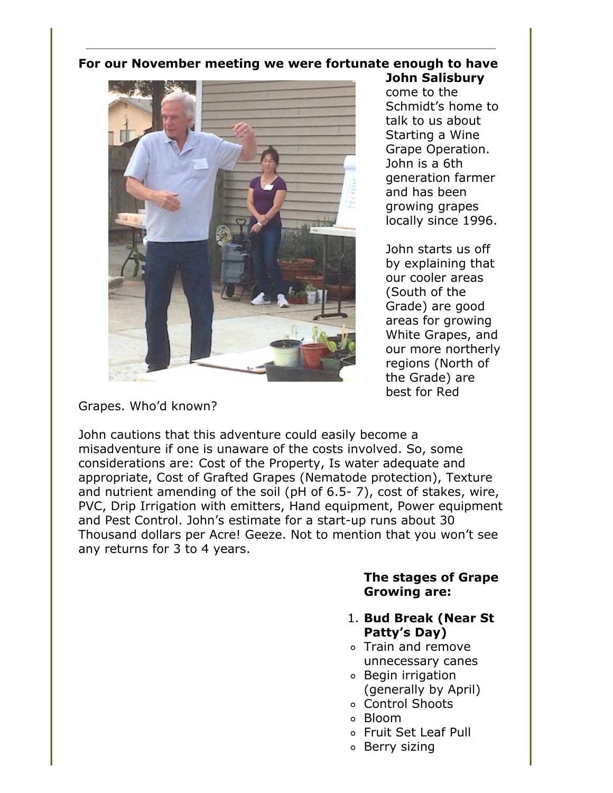## **For our November meeting we were fortunate enough to have**



**John Salisbury** come to the Schmidt's home to talk to us about Starting a Wine Grape Operation. John is a 6th generation farmer and has been growing grapes locally since 1996.

John starts us off by explaining that our cooler areas (South of the Grade) are good areas for growing White Grapes, and our more northerly regions (North of the Grade) are best for Red

Grapes. Who'd known?

John cautions that this adventure could easily become a misadventure if one is unaware of the costs involved. So, some considerations are: Cost of the Property, Is water adequate and appropriate, Cost of Grafted Grapes (Nematode protection), Texture and nutrient amending of the soil (pH of 6.5- 7), cost of stakes, wire, PVC, Drip Irrigation with emitters, Hand equipment, Power equipment and Pest Control. John's estimate for a start-up runs about 30 Thousand dollars per Acre! Geeze. Not to mention that you won't see any returns for 3 to 4 years.

## **The stages of Grape Growing are:**

- 1. **Bud Break (Near St Patty's Day)**
- Train and remove unnecessary canes
- Begin irrigation (generally by April)
- Control Shoots
- Bloom
- Fruit Set Leaf Pull
- o Berry sizing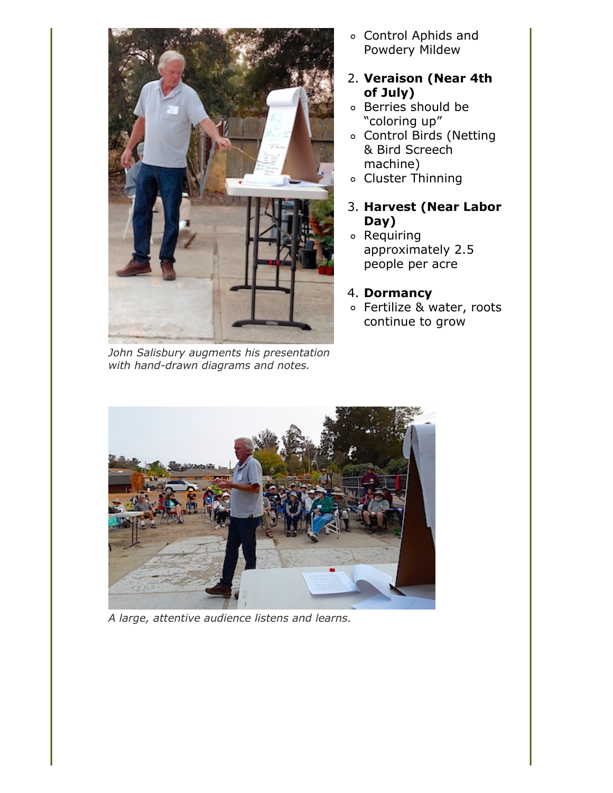

*John Salisbury augments his presentation with hand-drawn diagrams and notes.*

- Control Aphids and Powdery Mildew
- 2. **Veraison (Near 4th of July)**
- Berries should be "coloring up"
- Control Birds (Netting & Bird Screech machine)
- Cluster Thinning
- 3. **Harvest (Near Labor Day)**
- Requiring approximately 2.5 people per acre
- 4. **Dormancy**
- Fertilize & water, roots continue to grow



*A large, attentive audience listens and learns.*